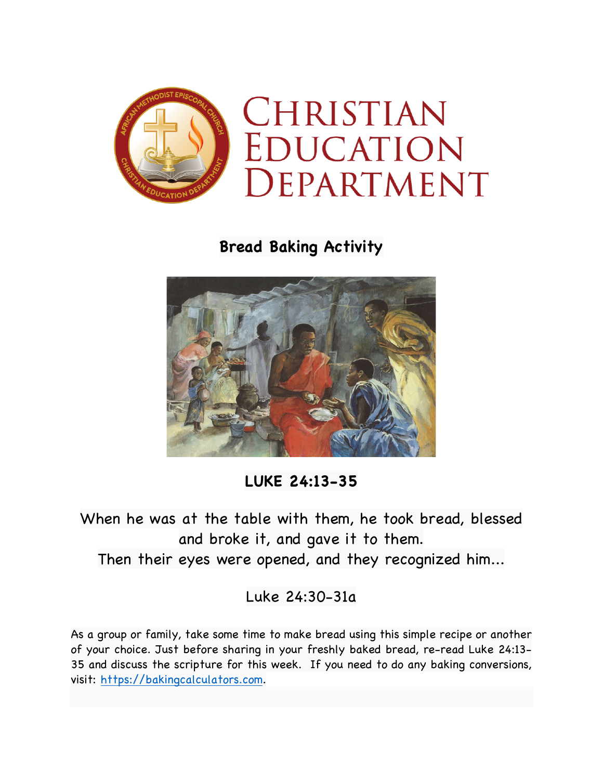

**Bread Baking Activity**



**LUKE 24:13-35**

When he was at the table with them, he took bread, blessed and broke it, and gave it to them. Then their eyes were opened, and they recognized him...

Luke 24:30-31a

As a group or family, take some time to make bread using this simple recipe or another of your choice. Just before sharing in your freshly baked bread, re-read Luke 24:13- 35 and discuss the scripture for this week. If you need to do any baking conversions, visit: https://bakingcalculators.com.